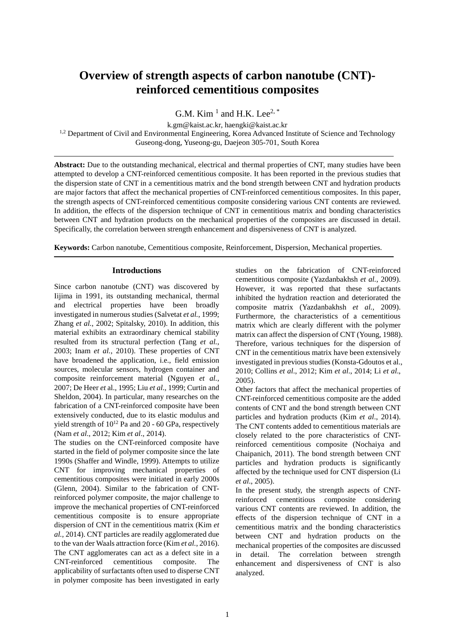# **Overview of strength aspects of carbon nanotube (CNT) reinforced cementitious composites**

G.M. Kim  $<sup>1</sup>$  and H.K. Lee<sup>2, \*</sup></sup>

k.gm@kaist.ac.kr, haengki@kaist.ac.kr <sup>1,2</sup> Department of Civil and Environmental Engineering, Korea Advanced Institute of Science and Technology Guseong-dong, Yuseong-gu, Daejeon 305-701, South Korea

**Abstract:** Due to the outstanding mechanical, electrical and thermal properties of CNT, many studies have been attempted to develop a CNT-reinforced cementitious composite. It has been reported in the previous studies that the dispersion state of CNT in a cementitious matrix and the bond strength between CNT and hydration products are major factors that affect the mechanical properties of CNT-reinforced cementitious composites. In this paper, the strength aspects of CNT-reinforced cementitious composite considering various CNT contents are reviewed. In addition, the effects of the dispersion technique of CNT in cementitious matrix and bonding characteristics between CNT and hydration products on the mechanical properties of the composites are discussed in detail. Specifically, the correlation between strength enhancement and dispersiveness of CNT is analyzed.

**Keywords:** Carbon nanotube, Cementitious composite, Reinforcement, Dispersion, Mechanical properties.

# **Introductions**

Since carbon nanotube (CNT) was discovered by Iijima in 1991, its outstanding mechanical, thermal and electrical properties have been broadly investigated in numerous studies (Salvetat *et al.*, 1999; Zhang *et al.*, 2002; Spitalsky, 2010). In addition, this material exhibits an extraordinary chemical stability resulted from its structural perfection (Tang *et al.*, 2003; Inam *et al.*, 2010). These properties of CNT have broadened the application, i.e., field emission sources, molecular sensors, hydrogen container and composite reinforcement material (Nguyen *et al.*, 2007; De Heer *et* al., 1995; Liu *et al*., 1999; Curtin and Sheldon, 2004). In particular, many researches on the fabrication of a CNT-reinforced composite have been extensively conducted, due to its elastic modulus and yield strength of  $10^{12}$  Pa and 20 - 60 GPa, respectively (Nam *et al*., 2012; Kim *et al*., 2014).

The studies on the CNT-reinforced composite have started in the field of polymer composite since the late 1990s (Shaffer and Windle, 1999). Attempts to utilize CNT for improving mechanical properties of cementitious composites were initiated in early 2000s (Glenn, 2004). Similar to the fabrication of CNTreinforced polymer composite, the major challenge to improve the mechanical properties of CNT-reinforced cementitious composite is to ensure appropriate dispersion of CNT in the cementitious matrix (Kim *et al.*, 2014). CNT particles are readily agglomerated due to the van der Waals attraction force (Kim *et al.*, 2016). The CNT agglomerates can act as a defect site in a CNT-reinforced cementitious composite. The applicability of surfactants often used to disperse CNT in polymer composite has been investigated in early

studies on the fabrication of CNT-reinforced cementitious composite (Yazdanbakhsh *et al.*, 2009). However, it was reported that these surfactants inhibited the hydration reaction and deteriorated the composite matrix (Yazdanbakhsh *et al.*, 2009). Furthermore, the characteristics of a cementitious matrix which are clearly different with the polymer matrix can affect the dispersion of CNT (Young, 1988). Therefore, various techniques for the dispersion of CNT in the cementitious matrix have been extensively investigated in previous studies (Konsta-Gdoutos et al., 2010; Collins *et al*., 2012; Kim *et al*., 2014; Li *et al*., 2005).

Other factors that affect the mechanical properties of CNT-reinforced cementitious composite are the added contents of CNT and the bond strength between CNT particles and hydration products (Kim *et al*., 2014). The CNT contents added to cementitious materials are closely related to the pore characteristics of CNTreinforced cementitious composite (Nochaiya and Chaipanich, 2011). The bond strength between CNT particles and hydration products is significantly affected by the technique used for CNT dispersion (Li *et al*., 2005).

In the present study, the strength aspects of CNTreinforced cementitious composite considering various CNT contents are reviewed. In addition, the effects of the dispersion technique of CNT in a cementitious matrix and the bonding characteristics between CNT and hydration products on the mechanical properties of the composites are discussed in detail. The correlation between strength enhancement and dispersiveness of CNT is also analyzed.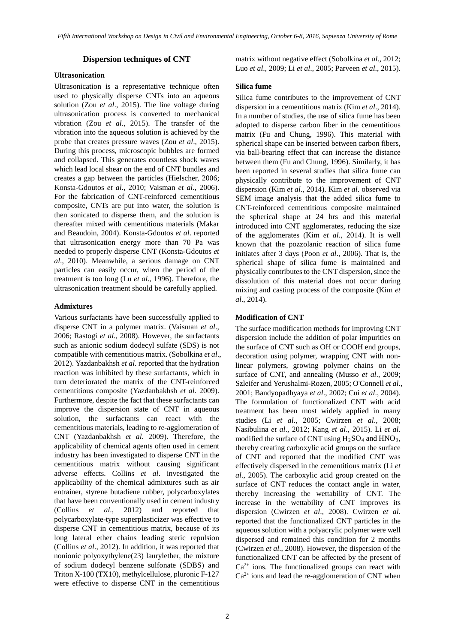# **Dispersion techniques of CNT**

# **Ultrasonication**

Ultrasonication is a representative technique often used to physically disperse CNTs into an aqueous solution (Zou *et al*., 2015). The line voltage during ultrasonication process is converted to mechanical vibration (Zou *et al*., 2015). The transfer of the vibration into the aqueous solution is achieved by the probe that creates pressure waves (Zou *et al*., 2015). During this process, microscopic bubbles are formed and collapsed. This generates countless shock waves which lead local shear on the end of CNT bundles and creates a gap between the particles (Hielscher, 2006; Konsta-Gdoutos *et al*., 2010; Vaisman *et al*., 2006). For the fabrication of CNT-reinforced cementitious composite, CNTs are put into water, the solution is then sonicated to disperse them, and the solution is thereafter mixed with cementitious materials (Makar and Beaudoin, 2004). Konsta-Gdoutos *et al*. reported that ultrasonication energy more than 70 Pa was needed to properly disperse CNT (Konsta-Gdoutos *et al*., 2010). Meanwhile, a serious damage on CNT particles can easily occur, when the period of the treatment is too long (Lu *et al*., 1996). Therefore, the ultrasonication treatment should be carefully applied.

# **Admixtures**

Various surfactants have been successfully applied to disperse CNT in a polymer matrix. (Vaisman *et al*., 2006; Rastogi *et al*., 2008). However, the surfactants such as anionic sodium dodecyl sulfate (SDS) is not compatible with cementitious matrix. (Sobolkina *et al*., 2012). Yazdanbakhsh *et al*. reported that the hydration reaction was inhibited by these surfactants, which in turn deteriorated the matrix of the CNT-reinforced cementitious composite (Yazdanbakhsh *et al*. 2009). Furthermore, despite the fact that these surfactants can improve the dispersion state of CNT in aqueous solution, the surfactants can react with the cementitious materials, leading to re-agglomeration of CNT (Yazdanbakhsh *et al*. 2009). Therefore, the applicability of chemical agents often used in cement industry has been investigated to disperse CNT in the cementitious matrix without causing significant adverse effects. Collins *et al*. investigated the applicability of the chemical admixtures such as air entrainer, styrene butadiene rubber, polycarboxylates that have been conventionally used in cement industry (Collins *et al*., 2012) and reported that polycarboxylate-type superplasticizer was effective to disperse CNT in cementitious matrix, because of its long lateral ether chains leading steric repulsion (Collins *et al*., 2012). In addition, it was reported that nonionic polyoxythylene(23) laurylether, the mixture of sodium dodecyl benzene sulfonate (SDBS) and Triton X-100 (TX10), methylcellulose, pluronic F-127 were effective to disperse CNT in the cementitious

matrix without negative effect (Sobolkina *et al*., 2012; Luo *et al*., 2009; Li *et al*., 2005; Parveen *et al*., 2015).

#### **Silica fume**

Silica fume contributes to the improvement of CNT dispersion in a cementitious matrix (Kim *et al*., 2014). In a number of studies, the use of silica fume has been adopted to disperse carbon fiber in the cementitious matrix (Fu and Chung, 1996). This material with spherical shape can be inserted between carbon fibers, via ball-bearing effect that can increase the distance between them (Fu and Chung, 1996). Similarly, it has been reported in several studies that silica fume can physically contribute to the improvement of CNT dispersion (Kim *et al*., 2014). Kim *et al*. observed via SEM image analysis that the added silica fume to CNT-reinforced cementitious composite maintained the spherical shape at 24 hrs and this material introduced into CNT agglomerates, reducing the size of the agglomerates (Kim *et al*., 2014). It is well known that the pozzolanic reaction of silica fume initiates after 3 days (Poon *et al*., 2006). That is, the spherical shape of silica fume is maintained and physically contributes to the CNT dispersion, since the dissolution of this material does not occur during mixing and casting process of the composite (Kim *et al*., 2014).

#### **Modification of CNT**

The surface modification methods for improving CNT dispersion include the addition of polar impurities on the surface of CNT such as OH or COOH end groups, decoration using polymer, wrapping CNT with nonlinear polymers, growing polymer chains on the surface of CNT, and annealing (Musso *et al*., 2009; Szleifer and Yerushalmi-Rozen, 2005; O'Connell *et al*., 2001; Bandyopadhyaya *et al*., 2002; Cui *et al*., 2004). The formulation of functionalized CNT with acid treatment has been most widely applied in many studies (Li *et al*., 2005; Cwirzen *et al*., 2008; Nasibulina *et al*., 2012; Kang *et al*., 2015). Li *et al*. modified the surface of CNT using  $H_2SO_4$  and  $HNO_3$ , thereby creating carboxylic acid groups on the surface of CNT and reported that the modified CNT was effectively dispersed in the cementitious matrix (Li *et al*., 2005). The carboxylic acid group created on the surface of CNT reduces the contact angle in water, thereby increasing the wettability of CNT. The increase in the wettability of CNT improves its dispersion (Cwirzen *et al*., 2008). Cwirzen *et al*. reported that the functionalized CNT particles in the aqueous solution with a polyacrylic polymer were well dispersed and remained this condition for 2 months (Cwirzen *et al*., 2008). However, the dispersion of the functionalized CNT can be affected by the present of  $Ca<sup>2+</sup>$  ions. The functionalized groups can react with  $Ca<sup>2+</sup>$  ions and lead the re-agglomeration of CNT when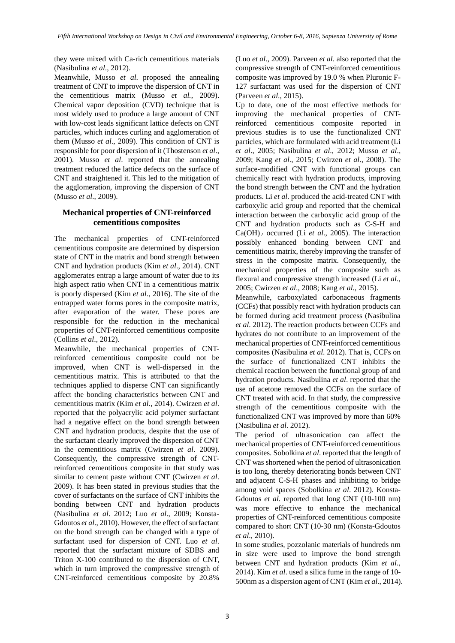they were mixed with Ca-rich cementitious materials (Nasibulina *et al*., 2012).

Meanwhile, Musso *et al*. proposed the annealing treatment of CNT to improve the dispersion of CNT in the cementitious matrix (Musso *et al.*, 2009). Chemical vapor deposition (CVD) technique that is most widely used to produce a large amount of CNT with low-cost leads significant lattice defects on CNT particles, which induces curling and agglomeration of them (Musso *et al*., 2009). This condition of CNT is responsible for poor dispersion of it (Thostenson *et al*., 2001). Musso *et al*. reported that the annealing treatment reduced the lattice defects on the surface of CNT and straightened it. This led to the mitigation of the agglomeration, improving the dispersion of CNT (Musso *et al*., 2009).

# **Mechanical properties of CNT-reinforced cementitious composites**

The mechanical properties of CNT-reinforced cementitious composite are determined by dispersion state of CNT in the matrix and bond strength between CNT and hydration products (Kim *et al*., 2014). CNT agglomerates entrap a large amount of water due to its high aspect ratio when CNT in a cementitious matrix is poorly dispersed (Kim *et al*., 2016). The site of the entrapped water forms pores in the composite matrix, after evaporation of the water. These pores are responsible for the reduction in the mechanical properties of CNT-reinforced cementitious composite (Collins *et al*., 2012).

Meanwhile, the mechanical properties of CNTreinforced cementitious composite could not be improved, when CNT is well-dispersed in the cementitious matrix. This is attributed to that the techniques applied to disperse CNT can significantly affect the bonding characteristics between CNT and cementitious matrix (Kim *et al*., 2014). Cwirzen *et al*. reported that the polyacrylic acid polymer surfactant had a negative effect on the bond strength between CNT and hydration products, despite that the use of the surfactant clearly improved the dispersion of CNT in the cementitious matrix (Cwirzen *et al*. 2009). Consequently, the compressive strength of CNTreinforced cementitious composite in that study was similar to cement paste without CNT (Cwirzen *et al*. 2009). It has been stated in previous studies that the cover of surfactants on the surface of CNT inhibits the bonding between CNT and hydration products (Nasibulina *et al*. 2012; Luo *et al*., 2009; Konsta-Gdoutos *et al*., 2010). However, the effect of surfactant on the bond strength can be changed with a type of surfactant used for dispersion of CNT. Luo *et al*. reported that the surfactant mixture of SDBS and Triton X-100 contributed to the dispersion of CNT, which in turn improved the compressive strength of CNT-reinforced cementitious composite by 20.8%

(Luo *et al*., 2009). Parveen *et al*. also reported that the compressive strength of CNT-reinforced cementitious composite was improved by 19.0 % when Pluronic F-127 surfactant was used for the dispersion of CNT (Parveen *et al*., 2015).

Up to date, one of the most effective methods for improving the mechanical properties of CNTreinforced cementitious composite reported in previous studies is to use the functionalized CNT particles, which are formulated with acid treatment (Li *et al*., 2005; Nasibulina *et al*., 2012; Musso *et al*., 2009; Kang *et al*., 2015; Cwirzen *et al*., 2008). The surface-modified CNT with functional groups can chemically react with hydration products, improving the bond strength between the CNT and the hydration products. Li *et al*. produced the acid-treated CNT with carboxylic acid group and reported that the chemical interaction between the carboxylic acid group of the CNT and hydration products such as C-S-H and Ca(OH)2 occurred (Li *et al*., 2005). The interaction possibly enhanced bonding between CNT and cementitious matrix, thereby improving the transfer of stress in the composite matrix. Consequently, the mechanical properties of the composite such as flexural and compressive strength increased (Li *et al*., 2005; Cwirzen *et al*., 2008; Kang *et al*., 2015).

Meanwhile, carboxylated carbonaceous fragments (CCFs) that possibly react with hydration products can be formed during acid treatment process (Nasibulina *et al*. 2012). The reaction products between CCFs and hydrates do not contribute to an improvement of the mechanical properties of CNT-reinforced cementitious composites (Nasibulina *et al*. 2012). That is, CCFs on the surface of functionalized CNT inhibits the chemical reaction between the functional group of and hydration products. Nasibulina *et al*. reported that the use of acetone removed the CCFs on the surface of CNT treated with acid. In that study, the compressive strength of the cementitious composite with the functionalized CNT was improved by more than 60% (Nasibulina *et al*. 2012).

The period of ultrasonication can affect the mechanical properties of CNT-reinforced cementitious composites. Sobolkina *et al*. reported that the length of CNT was shortened when the period of ultrasonication is too long, thereby deteriorating bonds between CNT and adjacent C-S-H phases and inhibiting to bridge among void spaces (Sobolkina *et al*. 2012). Konsta-Gdoutos *et al*. reported that long CNT (10-100 nm) was more effective to enhance the mechanical properties of CNT-reinforced cementitious composite compared to short CNT (10-30 nm) (Konsta-Gdoutos *et al*., 2010).

In some studies, pozzolanic materials of hundreds nm in size were used to improve the bond strength between CNT and hydration products (Kim *et al*., 2014). Kim *et al*. used a silica fume in the range of 10- 500nm as a dispersion agent of CNT (Kim *et al*., 2014).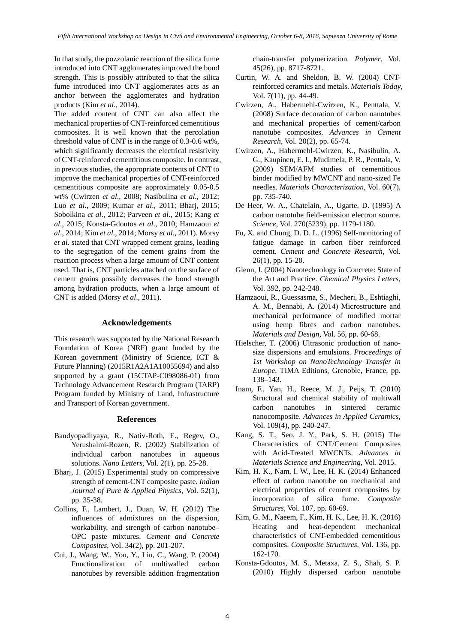In that study, the pozzolanic reaction of the silica fume introduced into CNT agglomerates improved the bond strength. This is possibly attributed to that the silica fume introduced into CNT agglomerates acts as an anchor between the agglomerates and hydration products (Kim *et al*., 2014).

The added content of CNT can also affect the mechanical properties of CNT-reinforced cementitious composites. It is well known that the percolation threshold value of CNT is in the range of 0.3-0.6 wt%, which significantly decreases the electrical resistivity of CNT-reinforced cementitious composite. In contrast, in previous studies, the appropriate contents of CNT to improve the mechanical properties of CNT-reinforced cementitious composite are approximately 0.05-0.5 wt% (Cwirzen *et al*., 2008; Nasibulina *et al*., 2012; Luo *et al*., 2009; Kumar *et al*., 2011; Bharj, 2015; Sobolkina *et al*., 2012; Parveen *et al*., 2015; Kang *et al*., 2015; Konsta-Gdoutos *et al*., 2010; Hamzaoui *et al*., 2014; Kim *et al*., 2014; Morsy *et al*., 2011). Morsy *et al*. stated that CNT wrapped cement grains, leading to the segregation of the cement grains from the reaction process when a large amount of CNT content used. That is, CNT particles attached on the surface of cement grains possibly decreases the bond strength among hydration products, when a large amount of CNT is added (Morsy *et al*., 2011).

# **Acknowledgements**

This research was supported by the National Research Foundation of Korea (NRF) grant funded by the Korean government (Ministry of Science, ICT & Future Planning) (2015R1A2A1A10055694) and also supported by a grant (15CTAP-C098086-01) from Technology Advancement Research Program (TARP) Program funded by Ministry of Land, Infrastructure and Transport of Korean government.

# **References**

- Bandyopadhyaya, R., Nativ-Roth, E., Regev, O., Yerushalmi-Rozen, R. (2002) Stabilization of individual carbon nanotubes in aqueous solutions. *Nano Letters*, Vol. 2(1), pp. 25-28.
- Bharj, J. (2015) Experimental study on compressive strength of cement-CNT composite paste. *Indian Journal of Pure & Applied Physics*, Vol. 52(1), pp. 35-38.
- Collins, F., Lambert, J., Duan, W. H. (2012) The influences of admixtures on the dispersion, workability, and strength of carbon nanotube– OPC paste mixtures. *Cement and Concrete Composites*, Vol. 34(2), pp. 201-207.
- Cui, J., Wang, W., You, Y., Liu, C., Wang, P. (2004) Functionalization of multiwalled carbon nanotubes by reversible addition fragmentation

chain-transfer polymerization. *Polymer*, Vol. 45(26), pp. 8717-8721.

- Curtin, W. A. and Sheldon, B. W. (2004) CNTreinforced ceramics and metals. *Materials Today*, Vol. 7(11), pp. 44-49.
- Cwirzen, A., Habermehl-Cwirzen, K., Penttala, V. (2008) Surface decoration of carbon nanotubes and mechanical properties of cement/carbon nanotube composites. *Advances in Cement Research*, Vol. 20(2), pp. 65-74.
- Cwirzen, A., Habermehl-Cwirzen, K., Nasibulin, A. G., Kaupinen, E. I., Mudimela, P. R., Penttala, V. (2009) SEM/AFM studies of cementitious binder modified by MWCNT and nano-sized Fe needles. *Materials Characterization*, Vol. 60(7), pp. 735-740.
- De Heer, W. A., Chatelain, A., Ugarte, D. (1995) A carbon nanotube field-emission electron source. *Science*, Vol. 270(5239), pp. 1179-1180.
- Fu, X. and Chung, D. D. L. (1996) Self-monitoring of fatigue damage in carbon fiber reinforced cement. *Cement and Concrete Research*, Vol. 26(1), pp. 15-20.
- Glenn, J. (2004) Nanotechnology in Concrete: State of the Art and Practice. *Chemical Physics Letters*, Vol. 392, pp. 242-248.
- Hamzaoui, R., Guessasma, S., Mecheri, B., Eshtiaghi, A. M., Bennabi, A. (2014) Microstructure and mechanical performance of modified mortar using hemp fibres and carbon nanotubes. *Materials and Design*, Vol. 56, pp. 60-68.
- Hielscher, T. (2006) Ultrasonic production of nanosize dispersions and emulsions. *Proceedings of 1st Workshop on NanoTechnology Transfer in Europe*, TIMA Editions, Grenoble, France, pp. 138–143.
- Inam, F., Yan, H., Reece, M. J., Peijs, T. (2010) Structural and chemical stability of multiwall carbon nanotubes in sintered ceramic nanocomposite. *Advances in Applied Ceramics*, Vol. 109(4), pp. 240-247.
- Kang, S. T., Seo, J. Y., Park, S. H. (2015) The Characteristics of CNT/Cement Composites with Acid-Treated MWCNTs. *Advances in Materials Science and Engineering*, Vol. 2015.
- Kim, H. K., Nam, I. W., Lee, H. K. (2014) Enhanced effect of carbon nanotube on mechanical and electrical properties of cement composites by incorporation of silica fume. *Composite Structures*, Vol. 107, pp. 60-69.
- Kim, G. M., Naeem, F., Kim, H. K., Lee, H. K. (2016) Heating and heat-dependent mechanical characteristics of CNT-embedded cementitious composites. *Composite Structures*, Vol. 136, pp. 162-170.
- Konsta-Gdoutos, M. S., Metaxa, Z. S., Shah, S. P. (2010) Highly dispersed carbon nanotube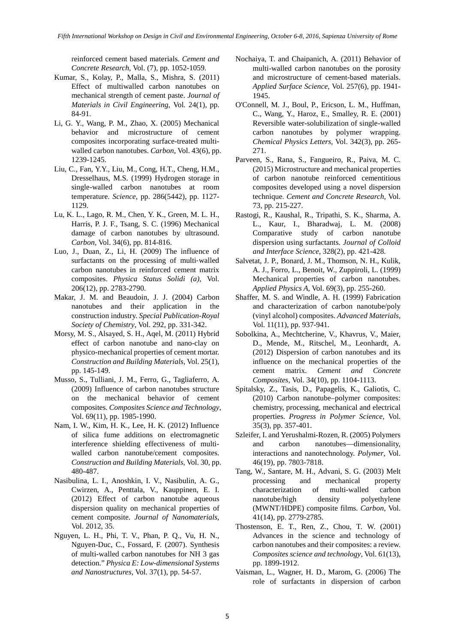reinforced cement based materials. *Cement and Concrete Research*, Vol. (7), pp. 1052-1059.

- Kumar, S., Kolay, P., Malla, S., Mishra, S. (2011) Effect of multiwalled carbon nanotubes on mechanical strength of cement paste. *Journal of Materials in Civil Engineering*, Vol. 24(1), pp. 84-91.
- Li, G. Y., Wang, P. M., Zhao, X. (2005) Mechanical behavior and microstructure of cement composites incorporating surface-treated multiwalled carbon nanotubes. *Carbon*, Vol. 43(6), pp. 1239-1245.
- Liu, C., Fan, Y.Y., Liu, M., Cong, H.T., Cheng, H.M., Dresselhaus, M.S. (1999) Hydrogen storage in single-walled carbon nanotubes at room temperature. *Science*, pp. 286(5442), pp. 1127- 1129.
- Lu, K. L., Lago, R. M., Chen, Y. K., Green, M. L. H., Harris, P. J. F., Tsang, S. C. (1996) Mechanical damage of carbon nanotubes by ultrasound. *Carbon*, Vol. 34(6), pp. 814-816.
- Luo, J., Duan, Z., Li, H. (2009) The influence of surfactants on the processing of multi-walled carbon nanotubes in reinforced cement matrix composites. *Physica Status Solidi (a)*, Vol. 206(12), pp. 2783-2790.
- Makar, J. M. and Beaudoin, J. J. (2004) Carbon nanotubes and their application in the construction industry. *Special Publication-Royal Society of Chemistry*, Vol. 292, pp. 331-342.
- Morsy, M. S., Alsayed, S. H., Aqel, M. (2011) Hybrid effect of carbon nanotube and nano-clay on physico-mechanical properties of cement mortar. *Construction and Building Materials*, Vol. 25(1), pp. 145-149.
- Musso, S., Tulliani, J. M., Ferro, G., Tagliaferro, A. (2009) Influence of carbon nanotubes structure on the mechanical behavior of cement composites. *Composites Science and Technology*, Vol. 69(11), pp. 1985-1990.
- Nam, I. W., Kim, H. K., Lee, H. K. (2012) Influence of silica fume additions on electromagnetic interference shielding effectiveness of multiwalled carbon nanotube/cement composites. *Construction and Building Materials*, Vol. 30, pp. 480-487.
- Nasibulina, L. I., Anoshkin, I. V., Nasibulin, A. G., Cwirzen, A., Penttala, V., Kauppinen, E. I. (2012) Effect of carbon nanotube aqueous dispersion quality on mechanical properties of cement composite. *Journal of Nanomaterials*, Vol. 2012, 35.
- Nguyen, L. H., Phi, T. V., Phan, P. Q., Vu, H. N., Nguyen-Duc, C., Fossard, F. (2007). Synthesis of multi-walled carbon nanotubes for NH 3 gas detection." *Physica E: Low-dimensional Systems and Nanostructures*, Vol. 37(1), pp. 54-57.
- Nochaiya, T. and Chaipanich, A. (2011) Behavior of multi-walled carbon nanotubes on the porosity and microstructure of cement-based materials. *Applied Surface Science*, Vol. 257(6), pp. 1941- 1945.
- O'Connell, M. J., Boul, P., Ericson, L. M., Huffman, C., Wang, Y., Haroz, E., Smalley, R. E. (2001) Reversible water-solubilization of single-walled carbon nanotubes by polymer wrapping. *Chemical Physics Letters*, Vol. 342(3), pp. 265- 271.
- Parveen, S., Rana, S., Fangueiro, R., Paiva, M. C. (2015) Microstructure and mechanical properties of carbon nanotube reinforced cementitious composites developed using a novel dispersion technique. *Cement and Concrete Research*, Vol. 73, pp. 215-227.
- Rastogi, R., Kaushal, R., Tripathi, S. K., Sharma, A. L., Kaur, I., Bharadwaj, L. M. (2008) Comparative study of carbon nanotube dispersion using surfactants. *Journal of Colloid and Interface Science*, 328(2), pp. 421-428.
- Salvetat, J. P., Bonard, J. M., Thomson, N. H., Kulik, A. J., Forro, L., Benoit, W., Zuppiroli, L. (1999) Mechanical properties of carbon nanotubes. *Applied Physics A*, Vol. 69(3), pp. 255-260.
- Shaffer, M. S. and Windle, A. H. (1999) Fabrication and characterization of carbon nanotube/poly (vinyl alcohol) composites. *Advanced Materials*, Vol. 11(11), pp. 937-941.
- Sobolkina, A., Mechtcherine, V., Khavrus, V., Maier, D., Mende, M., Ritschel, M., Leonhardt, A. (2012) Dispersion of carbon nanotubes and its influence on the mechanical properties of the cement matrix. *Cement and Concrete Composites*, Vol. 34(10), pp. 1104-1113.
- Spitalsky, Z., Tasis, D., Papagelis, K., Galiotis, C. (2010) Carbon nanotube–polymer composites: chemistry, processing, mechanical and electrical properties. *Progress in Polymer Science*, Vol. 35(3), pp. 357-401.
- Szleifer, I. and Yerushalmi-Rozen, R. (2005) Polymers and carbon nanotubes—dimensionality, interactions and nanotechnology. *Polymer*, Vol. 46(19), pp. 7803-7818.
- Tang, W., Santare, M. H., Advani, S. G. (2003) Melt processing and mechanical property characterization of multi-walled carbon nanotube/high density polyethylene (MWNT/HDPE) composite films. *Carbon*, Vol. 41(14), pp. 2779-2785.
- Thostenson, E. T., Ren, Z., Chou, T. W. (2001) Advances in the science and technology of carbon nanotubes and their composites: a review. *Composites science and technology*, Vol. 61(13), pp. 1899-1912.
- Vaisman, L., Wagner, H. D., Marom, G. (2006) The role of surfactants in dispersion of carbon